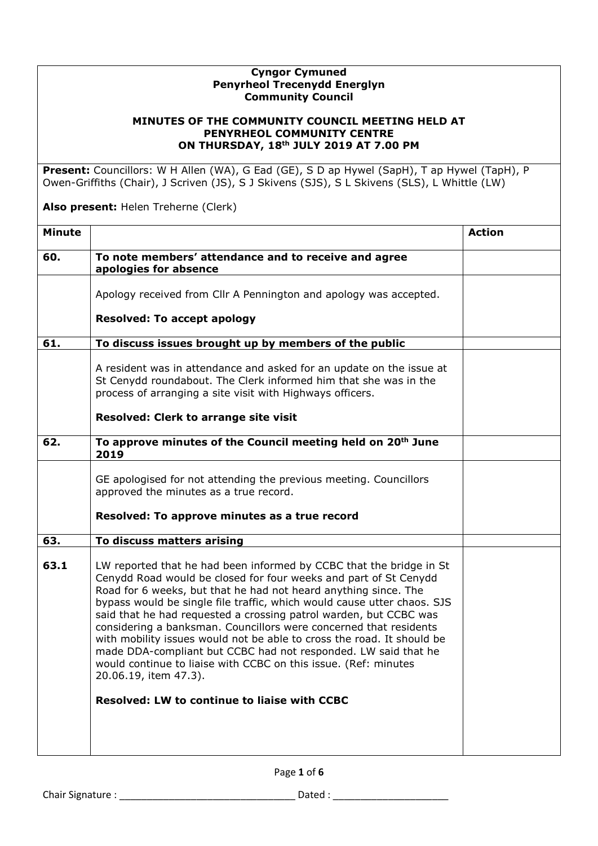## **Cyngor Cymuned Penyrheol Trecenydd Energlyn Community Council**

## **MINUTES OF THE COMMUNITY COUNCIL MEETING HELD AT PENYRHEOL COMMUNITY CENTRE ON THURSDAY, 18th JULY 2019 AT 7.00 PM**

**Present:** Councillors: W H Allen (WA), G Ead (GE), S D ap Hywel (SapH), T ap Hywel (TapH), P Owen-Griffiths (Chair), J Scriven (JS), S J Skivens (SJS), S L Skivens (SLS), L Whittle (LW)

**Also present:** Helen Treherne (Clerk)

|                                                                                                                                                                                                                                                                                                                                                                                                                                                                                                                                                                                                                                                                                                                                | <b>Action</b> |
|--------------------------------------------------------------------------------------------------------------------------------------------------------------------------------------------------------------------------------------------------------------------------------------------------------------------------------------------------------------------------------------------------------------------------------------------------------------------------------------------------------------------------------------------------------------------------------------------------------------------------------------------------------------------------------------------------------------------------------|---------------|
| To note members' attendance and to receive and agree<br>apologies for absence                                                                                                                                                                                                                                                                                                                                                                                                                                                                                                                                                                                                                                                  |               |
| Apology received from Cllr A Pennington and apology was accepted.                                                                                                                                                                                                                                                                                                                                                                                                                                                                                                                                                                                                                                                              |               |
| <b>Resolved: To accept apology</b>                                                                                                                                                                                                                                                                                                                                                                                                                                                                                                                                                                                                                                                                                             |               |
| To discuss issues brought up by members of the public                                                                                                                                                                                                                                                                                                                                                                                                                                                                                                                                                                                                                                                                          |               |
| A resident was in attendance and asked for an update on the issue at<br>St Cenydd roundabout. The Clerk informed him that she was in the<br>process of arranging a site visit with Highways officers.                                                                                                                                                                                                                                                                                                                                                                                                                                                                                                                          |               |
| Resolved: Clerk to arrange site visit                                                                                                                                                                                                                                                                                                                                                                                                                                                                                                                                                                                                                                                                                          |               |
| To approve minutes of the Council meeting held on 20 <sup>th</sup> June<br>2019                                                                                                                                                                                                                                                                                                                                                                                                                                                                                                                                                                                                                                                |               |
| GE apologised for not attending the previous meeting. Councillors<br>approved the minutes as a true record.                                                                                                                                                                                                                                                                                                                                                                                                                                                                                                                                                                                                                    |               |
| Resolved: To approve minutes as a true record                                                                                                                                                                                                                                                                                                                                                                                                                                                                                                                                                                                                                                                                                  |               |
| To discuss matters arising                                                                                                                                                                                                                                                                                                                                                                                                                                                                                                                                                                                                                                                                                                     |               |
| LW reported that he had been informed by CCBC that the bridge in St<br>Cenydd Road would be closed for four weeks and part of St Cenydd<br>Road for 6 weeks, but that he had not heard anything since. The<br>bypass would be single file traffic, which would cause utter chaos. SJS<br>said that he had requested a crossing patrol warden, but CCBC was<br>considering a banksman. Councillors were concerned that residents<br>with mobility issues would not be able to cross the road. It should be<br>made DDA-compliant but CCBC had not responded. LW said that he<br>would continue to liaise with CCBC on this issue. (Ref: minutes<br>20.06.19, item 47.3).<br><b>Resolved: LW to continue to liaise with CCBC</b> |               |
|                                                                                                                                                                                                                                                                                                                                                                                                                                                                                                                                                                                                                                                                                                                                |               |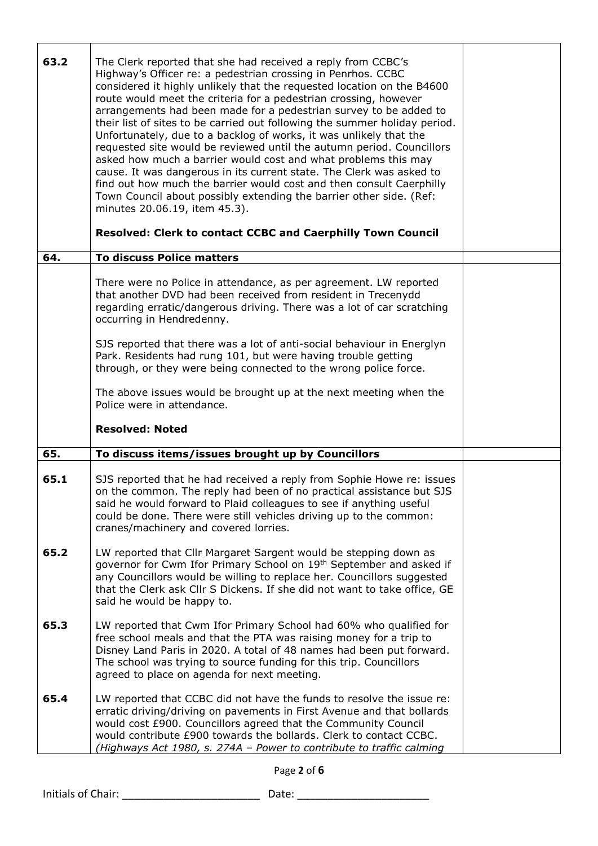| 63.2 | The Clerk reported that she had received a reply from CCBC's<br>Highway's Officer re: a pedestrian crossing in Penrhos. CCBC<br>considered it highly unlikely that the requested location on the B4600<br>route would meet the criteria for a pedestrian crossing, however<br>arrangements had been made for a pedestrian survey to be added to<br>their list of sites to be carried out following the summer holiday period.<br>Unfortunately, due to a backlog of works, it was unlikely that the<br>requested site would be reviewed until the autumn period. Councillors<br>asked how much a barrier would cost and what problems this may<br>cause. It was dangerous in its current state. The Clerk was asked to<br>find out how much the barrier would cost and then consult Caerphilly<br>Town Council about possibly extending the barrier other side. (Ref:<br>minutes 20.06.19, item 45.3).<br><b>Resolved: Clerk to contact CCBC and Caerphilly Town Council</b> |  |
|------|------------------------------------------------------------------------------------------------------------------------------------------------------------------------------------------------------------------------------------------------------------------------------------------------------------------------------------------------------------------------------------------------------------------------------------------------------------------------------------------------------------------------------------------------------------------------------------------------------------------------------------------------------------------------------------------------------------------------------------------------------------------------------------------------------------------------------------------------------------------------------------------------------------------------------------------------------------------------------|--|
| 64.  | <b>To discuss Police matters</b>                                                                                                                                                                                                                                                                                                                                                                                                                                                                                                                                                                                                                                                                                                                                                                                                                                                                                                                                             |  |
|      | There were no Police in attendance, as per agreement. LW reported<br>that another DVD had been received from resident in Trecenydd<br>regarding erratic/dangerous driving. There was a lot of car scratching<br>occurring in Hendredenny.                                                                                                                                                                                                                                                                                                                                                                                                                                                                                                                                                                                                                                                                                                                                    |  |
|      | SJS reported that there was a lot of anti-social behaviour in Energlyn<br>Park. Residents had rung 101, but were having trouble getting<br>through, or they were being connected to the wrong police force.                                                                                                                                                                                                                                                                                                                                                                                                                                                                                                                                                                                                                                                                                                                                                                  |  |
|      | The above issues would be brought up at the next meeting when the<br>Police were in attendance.                                                                                                                                                                                                                                                                                                                                                                                                                                                                                                                                                                                                                                                                                                                                                                                                                                                                              |  |
|      | <b>Resolved: Noted</b>                                                                                                                                                                                                                                                                                                                                                                                                                                                                                                                                                                                                                                                                                                                                                                                                                                                                                                                                                       |  |
| 65.  | To discuss items/issues brought up by Councillors                                                                                                                                                                                                                                                                                                                                                                                                                                                                                                                                                                                                                                                                                                                                                                                                                                                                                                                            |  |
| 65.1 | SJS reported that he had received a reply from Sophie Howe re: issues<br>on the common. The reply had been of no practical assistance but SJS<br>said he would forward to Plaid colleagues to see if anything useful<br>could be done. There were still vehicles driving up to the common:<br>cranes/machinery and covered lorries.                                                                                                                                                                                                                                                                                                                                                                                                                                                                                                                                                                                                                                          |  |
| 65.2 | LW reported that Cllr Margaret Sargent would be stepping down as<br>governor for Cwm Ifor Primary School on 19th September and asked if<br>any Councillors would be willing to replace her. Councillors suggested<br>that the Clerk ask Cllr S Dickens. If she did not want to take office, GE<br>said he would be happy to.                                                                                                                                                                                                                                                                                                                                                                                                                                                                                                                                                                                                                                                 |  |
| 65.3 | LW reported that Cwm Ifor Primary School had 60% who qualified for<br>free school meals and that the PTA was raising money for a trip to<br>Disney Land Paris in 2020. A total of 48 names had been put forward.<br>The school was trying to source funding for this trip. Councillors<br>agreed to place on agenda for next meeting.                                                                                                                                                                                                                                                                                                                                                                                                                                                                                                                                                                                                                                        |  |
| 65.4 | LW reported that CCBC did not have the funds to resolve the issue re:<br>erratic driving/driving on pavements in First Avenue and that bollards<br>would cost £900. Councillors agreed that the Community Council<br>would contribute £900 towards the bollards. Clerk to contact CCBC.<br>(Highways Act 1980, s. 274A - Power to contribute to traffic calming                                                                                                                                                                                                                                                                                                                                                                                                                                                                                                                                                                                                              |  |

Page **2** of **6**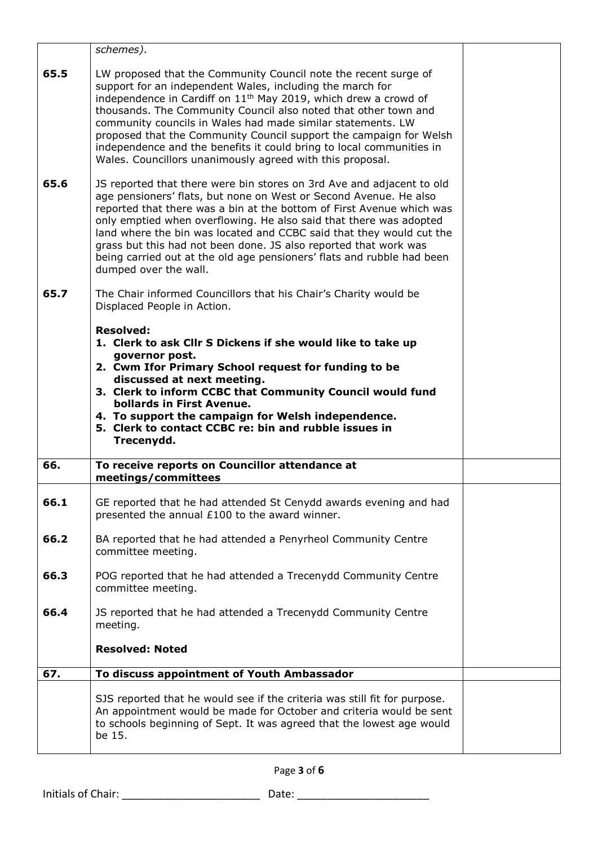|      | schemes).                                                                                                                                                                                                                                                                                                                                                                                                                                                                                                                                                |  |
|------|----------------------------------------------------------------------------------------------------------------------------------------------------------------------------------------------------------------------------------------------------------------------------------------------------------------------------------------------------------------------------------------------------------------------------------------------------------------------------------------------------------------------------------------------------------|--|
| 65.5 | LW proposed that the Community Council note the recent surge of<br>support for an independent Wales, including the march for<br>independence in Cardiff on 11 <sup>th</sup> May 2019, which drew a crowd of<br>thousands. The Community Council also noted that other town and<br>community councils in Wales had made similar statements. LW<br>proposed that the Community Council support the campaign for Welsh<br>independence and the benefits it could bring to local communities in<br>Wales. Councillors unanimously agreed with this proposal. |  |
| 65.6 | JS reported that there were bin stores on 3rd Ave and adjacent to old<br>age pensioners' flats, but none on West or Second Avenue. He also<br>reported that there was a bin at the bottom of First Avenue which was<br>only emptied when overflowing. He also said that there was adopted<br>land where the bin was located and CCBC said that they would cut the<br>grass but this had not been done. JS also reported that work was<br>being carried out at the old age pensioners' flats and rubble had been<br>dumped over the wall.                 |  |
| 65.7 | The Chair informed Councillors that his Chair's Charity would be<br>Displaced People in Action.                                                                                                                                                                                                                                                                                                                                                                                                                                                          |  |
|      | <b>Resolved:</b><br>1. Clerk to ask Cllr S Dickens if she would like to take up<br>governor post.<br>2. Cwm Ifor Primary School request for funding to be<br>discussed at next meeting.<br>3. Clerk to inform CCBC that Community Council would fund<br>bollards in First Avenue.<br>4. To support the campaign for Welsh independence.<br>5. Clerk to contact CCBC re: bin and rubble issues in<br>Trecenydd.                                                                                                                                           |  |
| 66.  | To receive reports on Councillor attendance at<br>meetings/committees                                                                                                                                                                                                                                                                                                                                                                                                                                                                                    |  |
| 66.1 | GE reported that he had attended St Cenydd awards evening and had<br>presented the annual £100 to the award winner.                                                                                                                                                                                                                                                                                                                                                                                                                                      |  |
| 66.2 | BA reported that he had attended a Penyrheol Community Centre<br>committee meeting.                                                                                                                                                                                                                                                                                                                                                                                                                                                                      |  |
| 66.3 | POG reported that he had attended a Trecenydd Community Centre<br>committee meeting.                                                                                                                                                                                                                                                                                                                                                                                                                                                                     |  |
| 66.4 | JS reported that he had attended a Trecenydd Community Centre<br>meeting.                                                                                                                                                                                                                                                                                                                                                                                                                                                                                |  |
|      | <b>Resolved: Noted</b>                                                                                                                                                                                                                                                                                                                                                                                                                                                                                                                                   |  |
| 67.  | To discuss appointment of Youth Ambassador                                                                                                                                                                                                                                                                                                                                                                                                                                                                                                               |  |
|      | SJS reported that he would see if the criteria was still fit for purpose.<br>An appointment would be made for October and criteria would be sent<br>to schools beginning of Sept. It was agreed that the lowest age would<br>be 15.                                                                                                                                                                                                                                                                                                                      |  |

Page **3** of **6**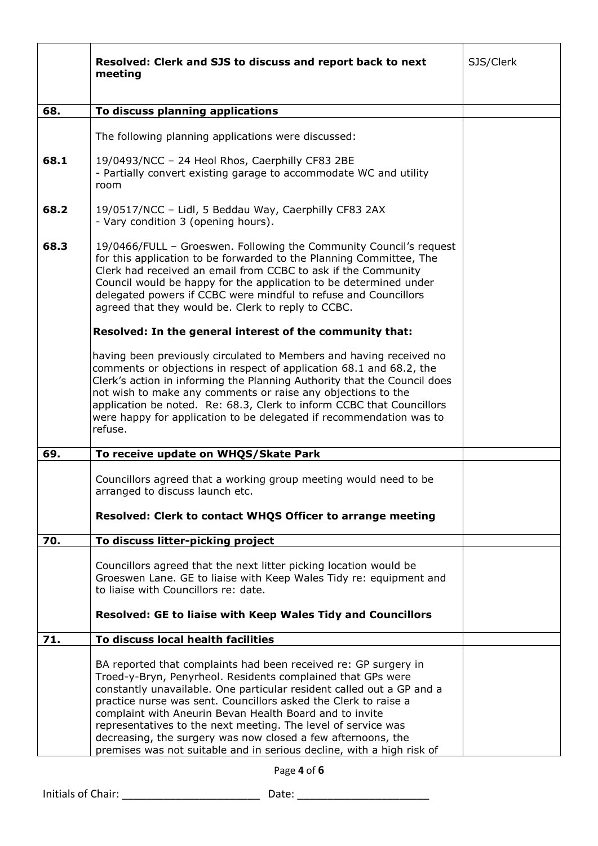|      | Resolved: Clerk and SJS to discuss and report back to next<br>meeting                                                                                                                                                                                                                                                                                                                                                                                                                                                                           | SJS/Clerk |
|------|-------------------------------------------------------------------------------------------------------------------------------------------------------------------------------------------------------------------------------------------------------------------------------------------------------------------------------------------------------------------------------------------------------------------------------------------------------------------------------------------------------------------------------------------------|-----------|
| 68.  | To discuss planning applications                                                                                                                                                                                                                                                                                                                                                                                                                                                                                                                |           |
|      |                                                                                                                                                                                                                                                                                                                                                                                                                                                                                                                                                 |           |
|      | The following planning applications were discussed:                                                                                                                                                                                                                                                                                                                                                                                                                                                                                             |           |
| 68.1 | 19/0493/NCC - 24 Heol Rhos, Caerphilly CF83 2BE<br>- Partially convert existing garage to accommodate WC and utility<br>room                                                                                                                                                                                                                                                                                                                                                                                                                    |           |
| 68.2 | 19/0517/NCC - Lidl, 5 Beddau Way, Caerphilly CF83 2AX<br>- Vary condition 3 (opening hours).                                                                                                                                                                                                                                                                                                                                                                                                                                                    |           |
| 68.3 | 19/0466/FULL - Groeswen. Following the Community Council's request<br>for this application to be forwarded to the Planning Committee, The<br>Clerk had received an email from CCBC to ask if the Community<br>Council would be happy for the application to be determined under<br>delegated powers if CCBC were mindful to refuse and Councillors<br>agreed that they would be. Clerk to reply to CCBC.                                                                                                                                        |           |
|      | Resolved: In the general interest of the community that:                                                                                                                                                                                                                                                                                                                                                                                                                                                                                        |           |
|      | having been previously circulated to Members and having received no<br>comments or objections in respect of application 68.1 and 68.2, the<br>Clerk's action in informing the Planning Authority that the Council does<br>not wish to make any comments or raise any objections to the<br>application be noted. Re: 68.3, Clerk to inform CCBC that Councillors<br>were happy for application to be delegated if recommendation was to<br>refuse.                                                                                               |           |
| 69.  | To receive update on WHQS/Skate Park                                                                                                                                                                                                                                                                                                                                                                                                                                                                                                            |           |
|      | Councillors agreed that a working group meeting would need to be<br>arranged to discuss launch etc.<br>Resolved: Clerk to contact WHQS Officer to arrange meeting                                                                                                                                                                                                                                                                                                                                                                               |           |
| 70.  | To discuss litter-picking project                                                                                                                                                                                                                                                                                                                                                                                                                                                                                                               |           |
|      | Councillors agreed that the next litter picking location would be<br>Groeswen Lane. GE to liaise with Keep Wales Tidy re: equipment and<br>to liaise with Councillors re: date.<br>Resolved: GE to liaise with Keep Wales Tidy and Councillors                                                                                                                                                                                                                                                                                                  |           |
| 71.  | To discuss local health facilities                                                                                                                                                                                                                                                                                                                                                                                                                                                                                                              |           |
|      | BA reported that complaints had been received re: GP surgery in<br>Troed-y-Bryn, Penyrheol. Residents complained that GPs were<br>constantly unavailable. One particular resident called out a GP and a<br>practice nurse was sent. Councillors asked the Clerk to raise a<br>complaint with Aneurin Bevan Health Board and to invite<br>representatives to the next meeting. The level of service was<br>decreasing, the surgery was now closed a few afternoons, the<br>premises was not suitable and in serious decline, with a high risk of |           |

Page **4** of **6**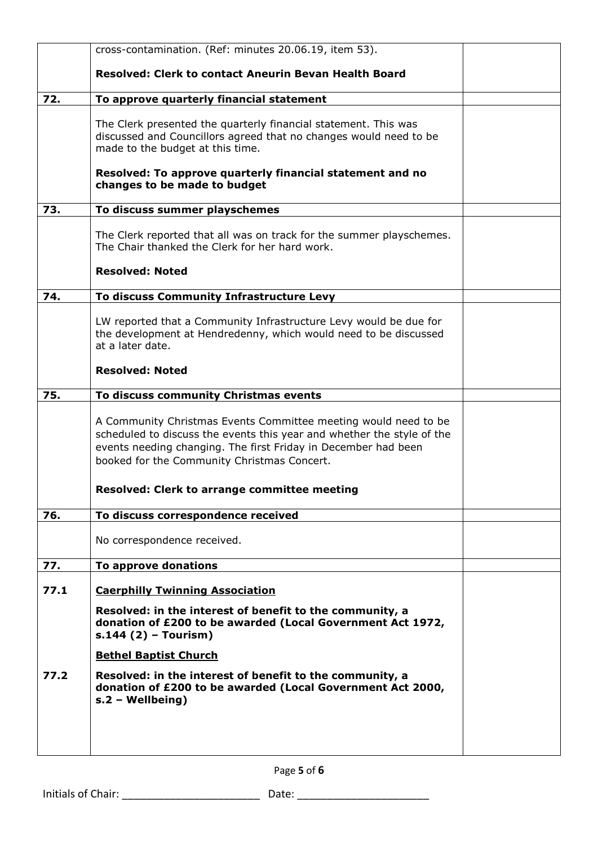|      | cross-contamination. (Ref: minutes 20.06.19, item 53).                                                                                                                                                                                                     |  |
|------|------------------------------------------------------------------------------------------------------------------------------------------------------------------------------------------------------------------------------------------------------------|--|
|      | <b>Resolved: Clerk to contact Aneurin Bevan Health Board</b>                                                                                                                                                                                               |  |
| 72.  | To approve quarterly financial statement                                                                                                                                                                                                                   |  |
|      | The Clerk presented the quarterly financial statement. This was<br>discussed and Councillors agreed that no changes would need to be<br>made to the budget at this time.                                                                                   |  |
|      | Resolved: To approve quarterly financial statement and no<br>changes to be made to budget                                                                                                                                                                  |  |
| 73.  | To discuss summer playschemes                                                                                                                                                                                                                              |  |
|      | The Clerk reported that all was on track for the summer playschemes.<br>The Chair thanked the Clerk for her hard work.                                                                                                                                     |  |
|      | <b>Resolved: Noted</b>                                                                                                                                                                                                                                     |  |
| 74.  | To discuss Community Infrastructure Levy                                                                                                                                                                                                                   |  |
|      | LW reported that a Community Infrastructure Levy would be due for<br>the development at Hendredenny, which would need to be discussed<br>at a later date.                                                                                                  |  |
|      | <b>Resolved: Noted</b>                                                                                                                                                                                                                                     |  |
| 75.  | To discuss community Christmas events                                                                                                                                                                                                                      |  |
|      | A Community Christmas Events Committee meeting would need to be<br>scheduled to discuss the events this year and whether the style of the<br>events needing changing. The first Friday in December had been<br>booked for the Community Christmas Concert. |  |
|      | <b>Resolved: Clerk to arrange committee meeting</b>                                                                                                                                                                                                        |  |
| 76.  | To discuss correspondence received                                                                                                                                                                                                                         |  |
|      | No correspondence received.                                                                                                                                                                                                                                |  |
| 77.  | To approve donations                                                                                                                                                                                                                                       |  |
| 77.1 | <b>Caerphilly Twinning Association</b>                                                                                                                                                                                                                     |  |
|      | Resolved: in the interest of benefit to the community, a<br>donation of £200 to be awarded (Local Government Act 1972,<br>$s.144(2)$ – Tourism)                                                                                                            |  |
|      | <b>Bethel Baptist Church</b>                                                                                                                                                                                                                               |  |
| 77.2 | Resolved: in the interest of benefit to the community, a<br>donation of £200 to be awarded (Local Government Act 2000,<br>$s.2 - Wellbeing)$                                                                                                               |  |
|      |                                                                                                                                                                                                                                                            |  |

Page **5** of **6**